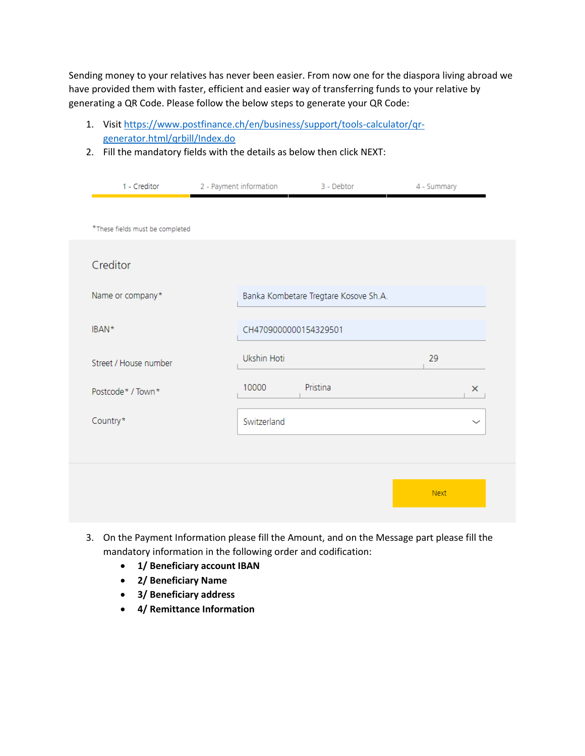Sending money to your relatives has never been easier. From now one for the diaspora living abroad we have provided them with faster, efficient and easier way of transferring funds to your relative by generating a QR Code. Please follow the below steps to generate your QR Code:

- 1. Visit [https://www.postfinance.ch/en/business/support/tools-calculator/qr](https://www.postfinance.ch/en/business/support/tools-calculator/qr-generator.html/qrbill/Index.do)[generator.html/qrbill/Index.do](https://www.postfinance.ch/en/business/support/tools-calculator/qr-generator.html/qrbill/Index.do)
- 2. Fill the mandatory fields with the details as below then click NEXT:

| 1 - Creditor                    | 2 - Payment information | 3 - Debtor                            | 4 - Summary |             |
|---------------------------------|-------------------------|---------------------------------------|-------------|-------------|
|                                 |                         |                                       |             |             |
| *These fields must be completed |                         |                                       |             |             |
|                                 |                         |                                       |             |             |
| Creditor                        |                         |                                       |             |             |
| Name or company*                |                         | Banka Kombetare Tregtare Kosove Sh.A. |             |             |
|                                 |                         |                                       |             |             |
| IBAN*                           | CH4709000000154329501   |                                       |             |             |
| Street / House number           | Ukshin Hoti             |                                       | 29          |             |
| Postcode* / Town*               | 10000                   | Pristina                              |             | $\times$    |
| Country*                        | Switzerland             |                                       |             | $\check{ }$ |
|                                 |                         |                                       |             |             |
|                                 |                         |                                       |             |             |
|                                 |                         |                                       | Next        |             |
|                                 |                         |                                       |             |             |

- 3. On the Payment Information please fill the Amount, and on the Message part please fill the mandatory information in the following order and codification:
	- **1/ Beneficiary account IBAN**
	- **2/ Beneficiary Name**
	- **3/ Beneficiary address**
	- **4/ Remittance Information**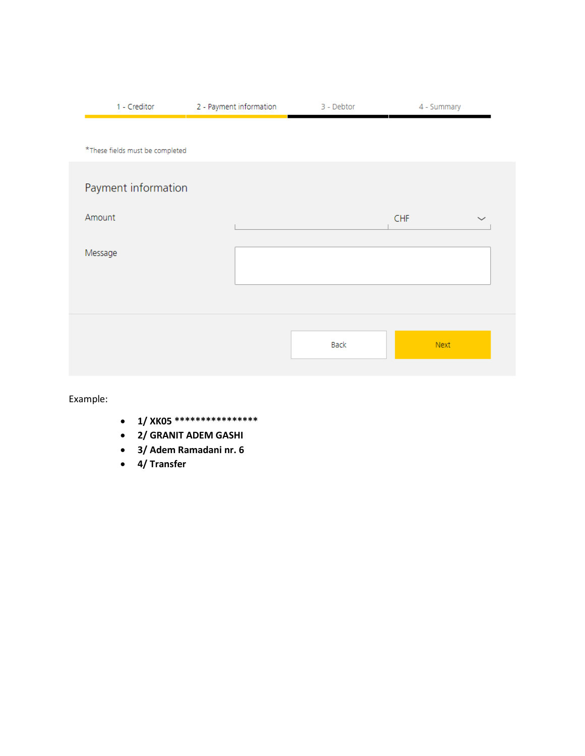| 1 - Creditor                    | 2 - Payment information | 3 - Debtor | 4 - Summary |              |
|---------------------------------|-------------------------|------------|-------------|--------------|
|                                 |                         |            |             |              |
| *These fields must be completed |                         |            |             |              |
| Payment information             |                         |            |             |              |
| Amount                          |                         |            | <b>CHF</b>  | $\checkmark$ |
| Message                         |                         |            |             |              |
|                                 |                         |            |             |              |
|                                 |                         |            |             |              |
|                                 |                         | Back       | Next        |              |
|                                 |                         |            |             |              |

Example:

- **1/ XK05 \*\*\*\*\*\*\*\*\*\*\*\*\*\*\*\***
- **2/ GRANIT ADEM GASHI**
- **3/ Adem Ramadani nr. 6**
- **4/ Transfer**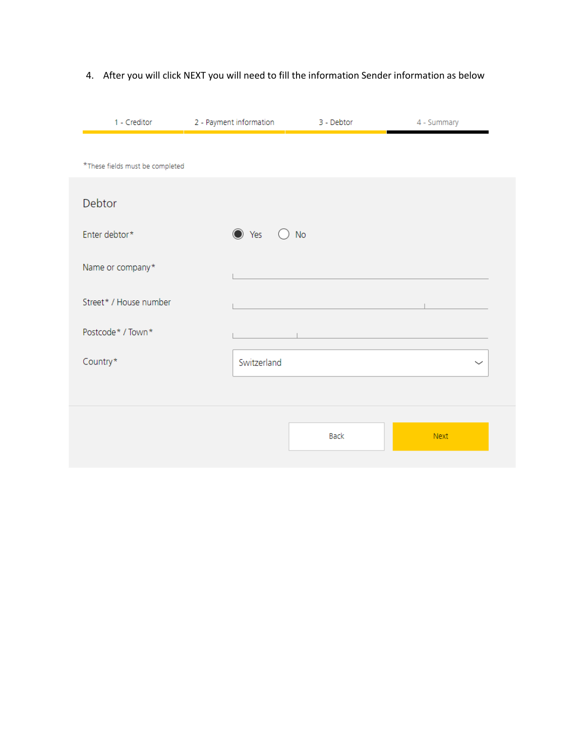| 1 - Creditor                    | 2 - Payment information | 3 - Debtor  | 4 - Summary |
|---------------------------------|-------------------------|-------------|-------------|
| *These fields must be completed |                         |             |             |
|                                 |                         |             |             |
| Debtor                          |                         |             |             |
| Enter debtor*                   | ● Yes                   | <b>No</b>   |             |
| Name or company*                |                         |             |             |
| Street* / House number          |                         |             |             |
| Postcode* / Town*               |                         |             |             |
| Country*                        | Switzerland             |             | $\check{ }$ |
|                                 |                         |             |             |
|                                 |                         | <b>Back</b> | <b>Next</b> |
|                                 |                         |             |             |

## 4. After you will click NEXT you will need to fill the information Sender information as below